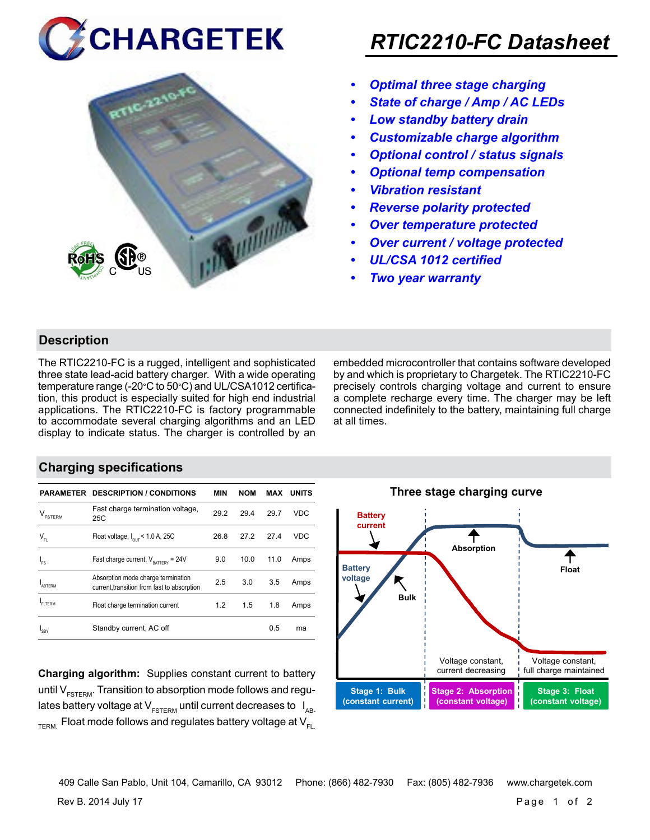# **CHARGETEK**



## *RTIC2210-FC Datasheet*

- *• Optimal three stage charging*
- *• State of charge / Amp / AC LEDs*
- *• Low standby battery drain*
- *• Customizable charge algorithm*
- *• Optional control / status signals*
- *• Optional temp compensation*
- *• Vibration resistant*
- *• Reverse polarity protected*
- *• Over temperature protected*
- *• Over current / voltage protected*
- *• UL/CSA 1012 certified*
- *• Two year warranty*

### **Description**

The RTIC2210-FC is a rugged, intelligent and sophisticated three state lead-acid battery charger. With a wide operating temperature range (-20°C to 50°C) and UL/CSA1012 certification, this product is especially suited for high end industrial applications. The RTIC2210-FC is factory programmable to accommodate several charging algorithms and an LED display to indicate status. The charger is controlled by an embedded microcontroller that contains software developed by and which is proprietary to Chargetek. The RTIC2210-FC precisely controls charging voltage and current to ensure a complete recharge every time. The charger may be left connected indefinitely to the battery, maintaining full charge at all times.

### **Charging specifications**

|                                      | <b>PARAMETER DESCRIPTION / CONDITIONS</b>                                         | MIN  | <b>NOM</b> | MAX  | <b>UNITS</b> |
|--------------------------------------|-----------------------------------------------------------------------------------|------|------------|------|--------------|
| $\mathsf{V}_{\texttt{\tiny FSTERN}}$ | Fast charge termination voltage,<br>25C                                           | 29.2 | 29.4       | 29.7 | VDC          |
| $V_{FL}$                             | Float voltage, $I_{\text{out}}$ < 1.0 A, 25C                                      | 26.8 | 27.2       | 27.4 | <b>VDC</b>   |
| $I_{FS}$                             | Fast charge current, $V_{\text{partrev}} = 24V$                                   | 9.0  | 10.0       | 11.0 | Amps         |
| <b>ARTERM</b>                        | Absorption mode charge termination<br>current, transition from fast to absorption | 2.5  | 3.0        | 3.5  | Amps         |
| FI TFRM                              | Float charge termination current                                                  | 1.2  | 1.5        | 1.8  | Amps         |
| SRY                                  | Standby current, AC off                                                           |      |            | 0.5  | ma           |

**Charging algorithm:** Supplies constant current to battery until  $V_{ESTFRM}$ . Transition to absorption mode follows and regulates battery voltage at  $V_{ESTERM}$  until current decreases to  $I_{AR}$  $T_{\text{ERM}}$  Float mode follows and regulates battery voltage at  $V_{\text{F1}}$ 



Rev B. 2014 July 17 Page 1 of 2 409 Calle San Pablo, Unit 104, Camarillo, CA 93012 Phone: (866) 482-7930 Fax: (805) 482-7936 www.chargetek.com